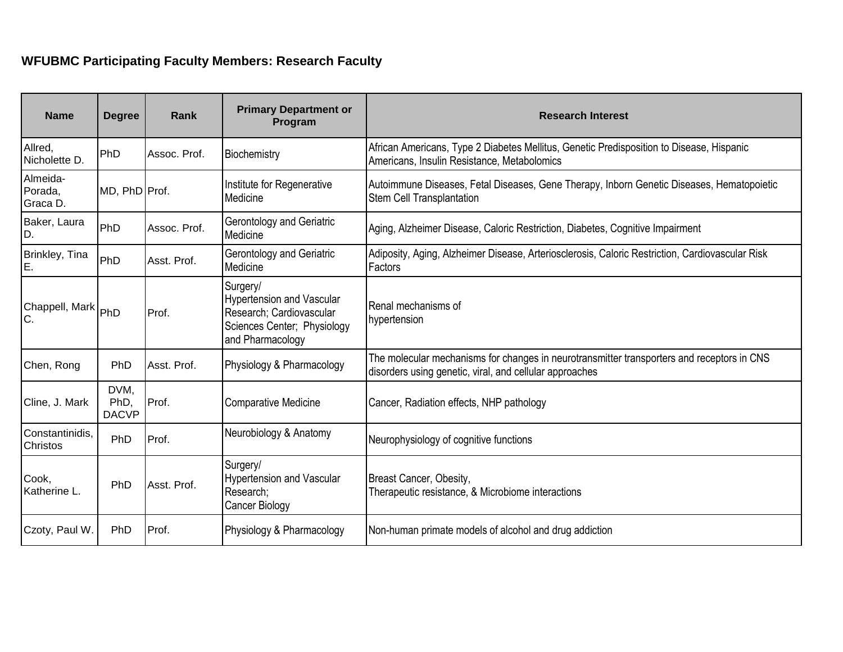## **WFUBMC Participating Faculty Members: Research Faculty**

| <b>Name</b>                        | <b>Degree</b>                | <b>Rank</b>  | <b>Primary Department or</b><br>Program                                                                                     | <b>Research Interest</b>                                                                                                                              |
|------------------------------------|------------------------------|--------------|-----------------------------------------------------------------------------------------------------------------------------|-------------------------------------------------------------------------------------------------------------------------------------------------------|
| Allred,<br>Nicholette D.           | PhD                          | Assoc. Prof. | Biochemistry                                                                                                                | African Americans, Type 2 Diabetes Mellitus, Genetic Predisposition to Disease, Hispanic<br>Americans, Insulin Resistance, Metabolomics               |
| Almeida-<br>Porada,<br>Graca D.    | MD, PhD Prof.                |              | Institute for Regenerative<br>Medicine                                                                                      | Autoimmune Diseases, Fetal Diseases, Gene Therapy, Inborn Genetic Diseases, Hematopoietic<br><b>Stem Cell Transplantation</b>                         |
| Baker, Laura<br>D.                 | PhD                          | Assoc. Prof. | Gerontology and Geriatric<br>Medicine                                                                                       | Aging, Alzheimer Disease, Caloric Restriction, Diabetes, Cognitive Impairment                                                                         |
| Brinkley, Tina<br>E.               | PhD                          | Asst. Prof.  | Gerontology and Geriatric<br>Medicine                                                                                       | Adiposity, Aging, Alzheimer Disease, Arteriosclerosis, Caloric Restriction, Cardiovascular Risk<br>Factors                                            |
| Chappell, Mark PhD<br>lc.          |                              | Prof.        | Surgery/<br><b>Hypertension and Vascular</b><br>Research; Cardiovascular<br>Sciences Center; Physiology<br>and Pharmacology | Renal mechanisms of<br>hypertension                                                                                                                   |
| Chen, Rong                         | PhD                          | Asst. Prof.  | Physiology & Pharmacology                                                                                                   | The molecular mechanisms for changes in neurotransmitter transporters and receptors in CNS<br>disorders using genetic, viral, and cellular approaches |
| Cline, J. Mark                     | DVM,<br>PhD,<br><b>DACVP</b> | Prof.        | <b>Comparative Medicine</b>                                                                                                 | Cancer, Radiation effects, NHP pathology                                                                                                              |
| Constantinidis,<br><b>Christos</b> | PhD                          | Prof.        | Neurobiology & Anatomy                                                                                                      | Neurophysiology of cognitive functions                                                                                                                |
| Cook,<br>Katherine L.              | PhD                          | Asst. Prof.  | Surgery/<br><b>Hypertension and Vascular</b><br>Research;<br>Cancer Biology                                                 | Breast Cancer, Obesity,<br>Therapeutic resistance, & Microbiome interactions                                                                          |
| Czoty, Paul W.                     | PhD                          | Prof.        | Physiology & Pharmacology                                                                                                   | Non-human primate models of alcohol and drug addiction                                                                                                |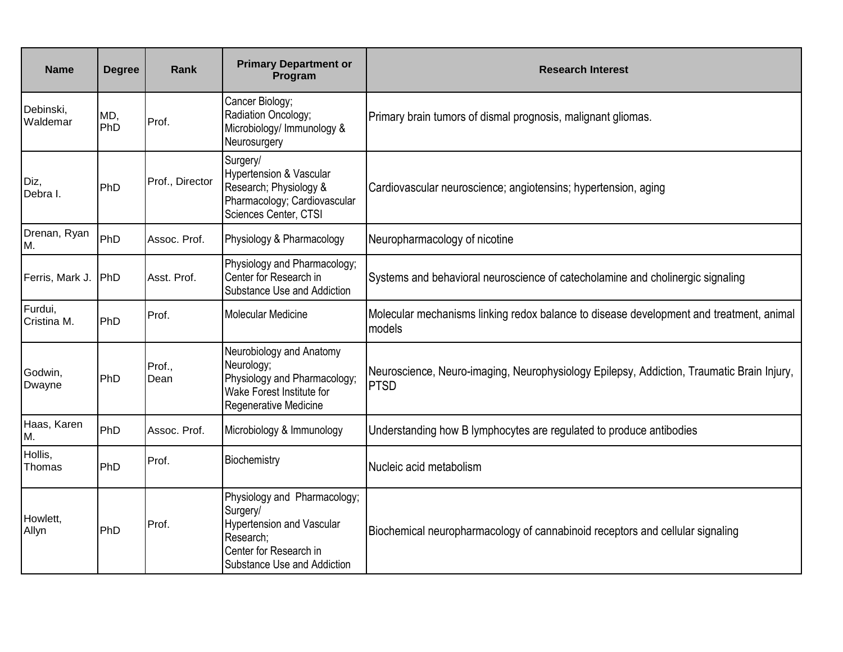| <b>Name</b>            | <b>Degree</b> | Rank            | <b>Primary Department or</b><br>Program                                                                                                            | <b>Research Interest</b>                                                                                 |
|------------------------|---------------|-----------------|----------------------------------------------------------------------------------------------------------------------------------------------------|----------------------------------------------------------------------------------------------------------|
| Debinski,<br>Waldemar  | MD,<br>PhD    | Prof.           | Cancer Biology;<br>Radiation Oncology;<br>Microbiology/ Immunology &<br>Neurosurgery                                                               | Primary brain tumors of dismal prognosis, malignant gliomas.                                             |
| Diz,<br>Debra I.       | PhD           | Prof., Director | Surgery/<br><b>Hypertension &amp; Vascular</b><br>Research; Physiology &<br>Pharmacology; Cardiovascular<br>Sciences Center, CTSI                  | Cardiovascular neuroscience; angiotensins; hypertension, aging                                           |
| Drenan, Ryan<br>M.     | PhD           | Assoc. Prof.    | Physiology & Pharmacology                                                                                                                          | Neuropharmacology of nicotine                                                                            |
| Ferris, Mark J.        | PhD           | Asst. Prof.     | Physiology and Pharmacology;<br>Center for Research in<br>Substance Use and Addiction                                                              | Systems and behavioral neuroscience of catecholamine and cholinergic signaling                           |
| Furdui,<br>Cristina M. | PhD           | Prof.           | <b>Molecular Medicine</b>                                                                                                                          | Molecular mechanisms linking redox balance to disease development and treatment, animal<br>models        |
| Godwin,<br>Dwayne      | PhD           | Prof.,<br>Dean  | Neurobiology and Anatomy<br>Neurology;<br>Physiology and Pharmacology;<br>Wake Forest Institute for<br>Regenerative Medicine                       | Neuroscience, Neuro-imaging, Neurophysiology Epilepsy, Addiction, Traumatic Brain Injury,<br><b>PTSD</b> |
| Haas, Karen<br>M.      | PhD           | Assoc. Prof.    | Microbiology & Immunology                                                                                                                          | Understanding how B lymphocytes are regulated to produce antibodies                                      |
| Hollis,<br>Thomas      | PhD           | Prof.           | Biochemistry                                                                                                                                       | Nucleic acid metabolism                                                                                  |
| Howlett,<br>Allyn      | PhD           | Prof.           | Physiology and Pharmacology;<br>Surgery/<br><b>Hypertension and Vascular</b><br>Research;<br>Center for Research in<br>Substance Use and Addiction | Biochemical neuropharmacology of cannabinoid receptors and cellular signaling                            |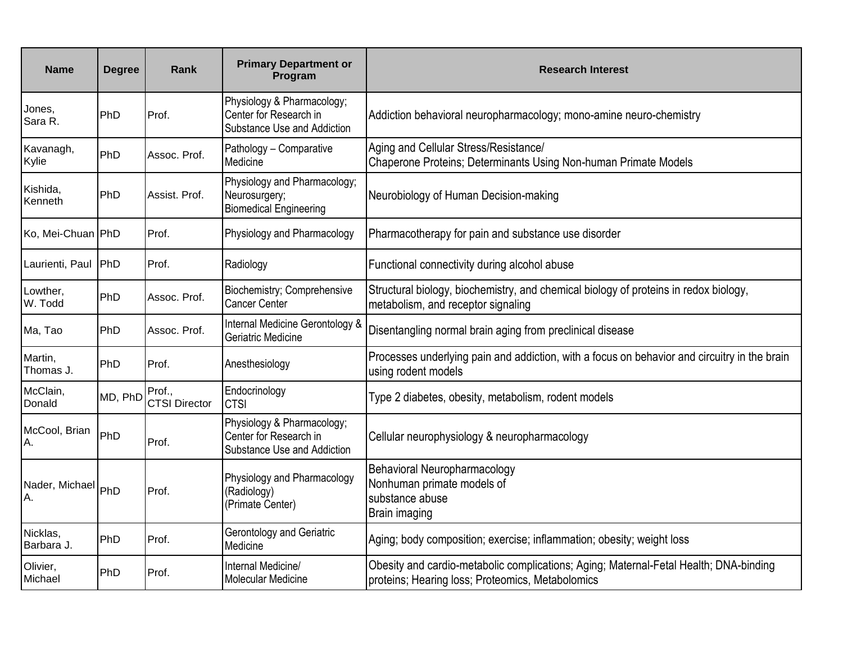| <b>Name</b>            | <b>Degree</b> | Rank                           | <b>Primary Department or</b><br>Program                                             | <b>Research Interest</b>                                                                                                                  |
|------------------------|---------------|--------------------------------|-------------------------------------------------------------------------------------|-------------------------------------------------------------------------------------------------------------------------------------------|
| Jones,<br>Sara R.      | PhD           | Prof.                          | Physiology & Pharmacology;<br>Center for Research in<br>Substance Use and Addiction | Addiction behavioral neuropharmacology; mono-amine neuro-chemistry                                                                        |
| Kavanagh,<br>Kylie     | PhD           | Assoc. Prof.                   | Pathology - Comparative<br>Medicine                                                 | Aging and Cellular Stress/Resistance/<br>Chaperone Proteins; Determinants Using Non-human Primate Models                                  |
| Kishida,<br>Kenneth    | PhD           | Assist. Prof.                  | Physiology and Pharmacology;<br>Neurosurgery;<br><b>Biomedical Engineering</b>      | Neurobiology of Human Decision-making                                                                                                     |
| Ko, Mei-Chuan PhD      |               | Prof.                          | Physiology and Pharmacology                                                         | Pharmacotherapy for pain and substance use disorder                                                                                       |
| Laurienti, Paul        | PhD           | Prof.                          | Radiology                                                                           | Functional connectivity during alcohol abuse                                                                                              |
| Lowther,<br>W. Todd    | PhD           | Assoc. Prof.                   | Biochemistry; Comprehensive<br><b>Cancer Center</b>                                 | Structural biology, biochemistry, and chemical biology of proteins in redox biology,<br>metabolism, and receptor signaling                |
| Ma, Tao                | PhD           | Assoc. Prof.                   | Internal Medicine Gerontology &<br>Geriatric Medicine                               | Disentangling normal brain aging from preclinical disease                                                                                 |
| Martin,<br>Thomas J.   | PhD           | Prof.                          | Anesthesiology                                                                      | Processes underlying pain and addiction, with a focus on behavior and circuitry in the brain<br>using rodent models                       |
| McClain,<br>Donald     | MD, PhD       | Prof.,<br><b>CTSI Director</b> | Endocrinology<br><b>CTSI</b>                                                        | Type 2 diabetes, obesity, metabolism, rodent models                                                                                       |
| McCool, Brian<br>А.    | PhD           | Prof.                          | Physiology & Pharmacology;<br>Center for Research in<br>Substance Use and Addiction | Cellular neurophysiology & neuropharmacology                                                                                              |
| Nader, Michael<br>Α.   | PhD           | Prof.                          | Physiology and Pharmacology<br>(Radiology)<br>(Primate Center)                      | Behavioral Neuropharmacology<br>Nonhuman primate models of<br>substance abuse<br>Brain imaging                                            |
| Nicklas,<br>Barbara J. | PhD           | Prof.                          | Gerontology and Geriatric<br>Medicine                                               | Aging; body composition; exercise; inflammation; obesity; weight loss                                                                     |
| Olivier,<br>Michael    | PhD           | Prof.                          | Internal Medicine/<br>Molecular Medicine                                            | Obesity and cardio-metabolic complications; Aging; Maternal-Fetal Health; DNA-binding<br>proteins; Hearing loss; Proteomics, Metabolomics |